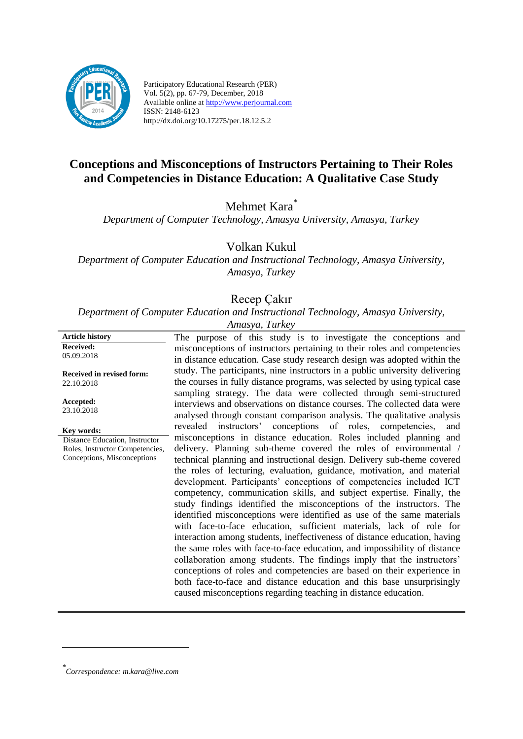

Participatory Educational Research (PER) Vol. 5(2), pp. 67-79, December, 2018 Available online at http://www.perjournal.com ISSN: 2148-6123 http://dx.doi.org/10.17275/per.18.12.5.2

# **Conceptions and Misconceptions of Instructors Pertaining to Their Roles and Competencies in Distance Education: A Qualitative Case Study**

# Mehmet Kara<sup>\*</sup>

*Department of Computer Technology, Amasya University, Amasya, Turkey*

Volkan Kukul

*Department of Computer Education and Instructional Technology, Amasya University, Amasya, Turkey*

## Recep Çakır

*Department of Computer Education and Instructional Technology, Amasya University,* 

| Amasya, Turkey |  |
|----------------|--|
|                |  |

**Article history Received:**  05.09.2018 **Received in revised form:**  22.10.2018 **Accepted:** 23.10.2018 The purpose of this study is to investigate the conceptions and misconceptions of instructors pertaining to their roles and competencies in distance education. Case study research design was adopted within the study. The participants, nine instructors in a public university delivering the courses in fully distance programs, was selected by using typical case sampling strategy. The data were collected through semi-structured interviews and observations on distance courses. The collected data were analysed through constant comparison analysis. The qualitative analysis revealed instructors' conceptions of roles, competencies, and misconceptions in distance education. Roles included planning and delivery. Planning sub-theme covered the roles of environmental / technical planning and instructional design. Delivery sub-theme covered the roles of lecturing, evaluation, guidance, motivation, and material development. Participants' conceptions of competencies included ICT competency, communication skills, and subject expertise. Finally, the study findings identified the misconceptions of the instructors. The identified misconceptions were identified as use of the same materials with face-to-face education, sufficient materials, lack of role for interaction among students, ineffectiveness of distance education, having the same roles with face-to-face education, and impossibility of distance collaboration among students. The findings imply that the instructors' conceptions of roles and competencies are based on their experience in both face-to-face and distance education and this base unsurprisingly caused misconceptions regarding teaching in distance education. **Key words:** Distance Education, Instructor Roles, Instructor Competencies, Conceptions, Misconceptions

<u>.</u>

*<sup>\*</sup> Correspondence: m.kara@live.com*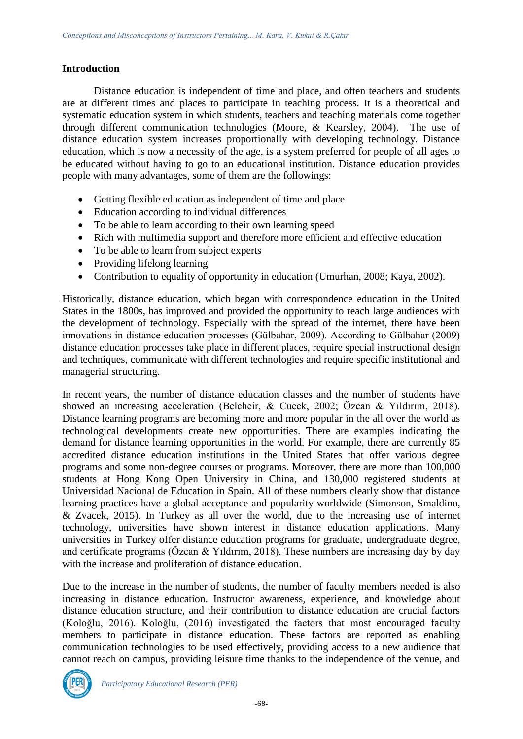### **Introduction**

Distance education is independent of time and place, and often teachers and students are at different times and places to participate in teaching process. It is a theoretical and systematic education system in which students, teachers and teaching materials come together through different communication technologies (Moore, & Kearsley, 2004). The use of distance education system increases proportionally with developing technology. Distance education, which is now a necessity of the age, is a system preferred for people of all ages to be educated without having to go to an educational institution. Distance education provides people with many advantages, some of them are the followings:

- Getting flexible education as independent of time and place
- Education according to individual differences
- To be able to learn according to their own learning speed
- Rich with multimedia support and therefore more efficient and effective education
- To be able to learn from subject experts
- Providing lifelong learning
- Contribution to equality of opportunity in education (Umurhan, 2008; Kaya, 2002).

Historically, distance education, which began with correspondence education in the United States in the 1800s, has improved and provided the opportunity to reach large audiences with the development of technology. Especially with the spread of the internet, there have been innovations in distance education processes (Gülbahar, 2009). According to Gülbahar (2009) distance education processes take place in different places, require special instructional design and techniques, communicate with different technologies and require specific institutional and managerial structuring.

In recent years, the number of distance education classes and the number of students have showed an increasing acceleration (Belcheir, & Cucek, 2002; Özcan & Yıldırım, 2018). Distance learning programs are becoming more and more popular in the all over the world as technological developments create new opportunities. There are examples indicating the demand for distance learning opportunities in the world. For example, there are currently 85 accredited distance education institutions in the United States that offer various degree programs and some non-degree courses or programs. Moreover, there are more than 100,000 students at Hong Kong Open University in China, and 130,000 registered students at Universidad Nacional de Education in Spain. All of these numbers clearly show that distance learning practices have a global acceptance and popularity worldwide (Simonson, Smaldino, & Zvacek, 2015). In Turkey as all over the world, due to the increasing use of internet technology, universities have shown interest in distance education applications. Many universities in Turkey offer distance education programs for graduate, undergraduate degree, and certificate programs (Özcan & Yıldırım, 2018). These numbers are increasing day by day with the increase and proliferation of distance education.

Due to the increase in the number of students, the number of faculty members needed is also increasing in distance education. Instructor awareness, experience, and knowledge about distance education structure, and their contribution to distance education are crucial factors (Koloğlu, 2016). Koloğlu, (2016) investigated the factors that most encouraged faculty members to participate in distance education. These factors are reported as enabling communication technologies to be used effectively, providing access to a new audience that cannot reach on campus, providing leisure time thanks to the independence of the venue, and

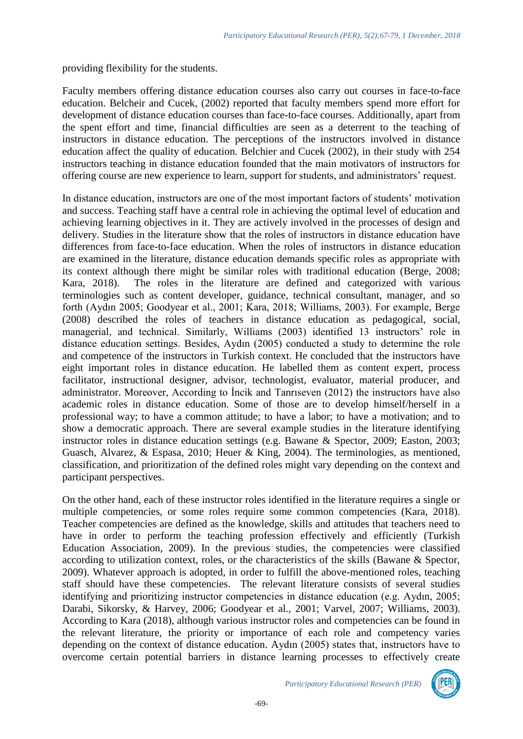providing flexibility for the students.

Faculty members offering distance education courses also carry out courses in face-to-face education. Belcheir and Cucek, (2002) reported that faculty members spend more effort for development of distance education courses than face-to-face courses. Additionally, apart from the spent effort and time, financial difficulties are seen as a deterrent to the teaching of instructors in distance education. The perceptions of the instructors involved in distance education affect the quality of education. Belchier and Cucek (2002), in their study with 254 instructors teaching in distance education founded that the main motivators of instructors for offering course are new experience to learn, support for students, and administrators' request.

In distance education, instructors are one of the most important factors of students' motivation and success. Teaching staff have a central role in achieving the optimal level of education and achieving learning objectives in it. They are actively involved in the processes of design and delivery. Studies in the literature show that the roles of instructors in distance education have differences from face-to-face education. When the roles of instructors in distance education are examined in the literature, distance education demands specific roles as appropriate with its context although there might be similar roles with traditional education (Berge, 2008; Kara, 2018). The roles in the literature are defined and categorized with various terminologies such as content developer, guidance, technical consultant, manager, and so forth (Aydın 2005; Goodyear et al., 2001; Kara, 2018; Williams, 2003). For example, Berge (2008) described the roles of teachers in distance education as pedagogical, social, managerial, and technical. Similarly, Williams (2003) identified 13 instructors' role in distance education settings. Besides, Aydın (2005) conducted a study to determine the role and competence of the instructors in Turkish context. He concluded that the instructors have eight important roles in distance education. He labelled them as content expert, process facilitator, instructional designer, advisor, technologist, evaluator, material producer, and administrator. Moreover, According to İncik and Tanrıseven (2012) the instructors have also academic roles in distance education. Some of those are to develop himself/herself in a professional way; to have a common attitude; to have a labor; to have a motivation; and to show a democratic approach. There are several example studies in the literature identifying instructor roles in distance education settings (e.g. Bawane & Spector, 2009; Easton, 2003; Guasch, Alvarez, & Espasa, 2010; Heuer & King, 2004). The terminologies, as mentioned, classification, and prioritization of the defined roles might vary depending on the context and participant perspectives.

On the other hand, each of these instructor roles identified in the literature requires a single or multiple competencies, or some roles require some common competencies (Kara, 2018). Teacher competencies are defined as the knowledge, skills and attitudes that teachers need to have in order to perform the teaching profession effectively and efficiently (Turkish Education Association, 2009). In the previous studies, the competencies were classified according to utilization context, roles, or the characteristics of the skills (Bawane & Spector, 2009). Whatever approach is adopted, in order to fulfill the above-mentioned roles, teaching staff should have these competencies. The relevant literature consists of several studies identifying and prioritizing instructor competencies in distance education (e.g. Aydın, 2005; Darabi, Sikorsky, & Harvey, 2006; Goodyear et al., 2001; Varvel, 2007; Williams, 2003). According to Kara (2018), although various instructor roles and competencies can be found in the relevant literature, the priority or importance of each role and competency varies depending on the context of distance education. Aydın (2005) states that, instructors have to overcome certain potential barriers in distance learning processes to effectively create

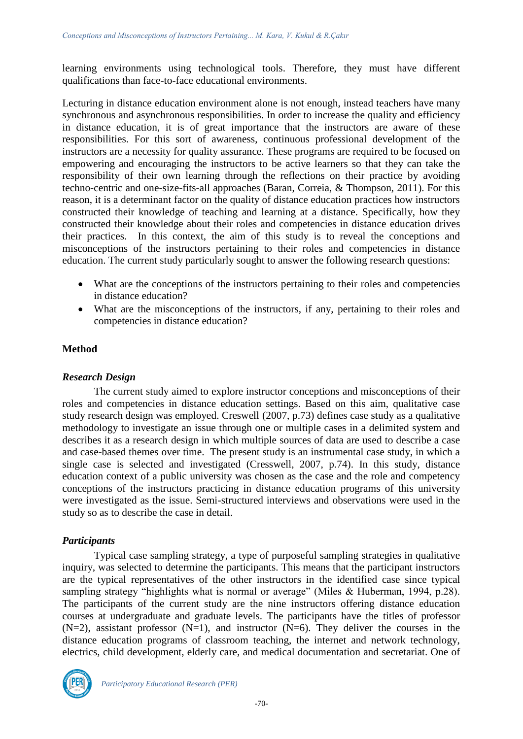learning environments using technological tools. Therefore, they must have different qualifications than face-to-face educational environments.

Lecturing in distance education environment alone is not enough, instead teachers have many synchronous and asynchronous responsibilities. In order to increase the quality and efficiency in distance education, it is of great importance that the instructors are aware of these responsibilities. For this sort of awareness, continuous professional development of the instructors are a necessity for quality assurance. These programs are required to be focused on empowering and encouraging the instructors to be active learners so that they can take the responsibility of their own learning through the reflections on their practice by avoiding techno-centric and one-size-fits-all approaches (Baran, Correia, & Thompson, 2011). For this reason, it is a determinant factor on the quality of distance education practices how instructors constructed their knowledge of teaching and learning at a distance. Specifically, how they constructed their knowledge about their roles and competencies in distance education drives their practices. In this context, the aim of this study is to reveal the conceptions and misconceptions of the instructors pertaining to their roles and competencies in distance education. The current study particularly sought to answer the following research questions:

- What are the conceptions of the instructors pertaining to their roles and competencies in distance education?
- What are the misconceptions of the instructors, if any, pertaining to their roles and competencies in distance education?

### **Method**

#### *Research Design*

The current study aimed to explore instructor conceptions and misconceptions of their roles and competencies in distance education settings. Based on this aim, qualitative case study research design was employed. Creswell (2007, p.73) defines case study as a qualitative methodology to investigate an issue through one or multiple cases in a delimited system and describes it as a research design in which multiple sources of data are used to describe a case and case-based themes over time. The present study is an instrumental case study, in which a single case is selected and investigated (Cresswell, 2007, p.74). In this study, distance education context of a public university was chosen as the case and the role and competency conceptions of the instructors practicing in distance education programs of this university were investigated as the issue. Semi-structured interviews and observations were used in the study so as to describe the case in detail.

### *Participants*

Typical case sampling strategy, a type of purposeful sampling strategies in qualitative inquiry, was selected to determine the participants. This means that the participant instructors are the typical representatives of the other instructors in the identified case since typical sampling strategy "highlights what is normal or average" (Miles & Huberman, 1994, p.28). The participants of the current study are the nine instructors offering distance education courses at undergraduate and graduate levels. The participants have the titles of professor  $(N=2)$ , assistant professor  $(N=1)$ , and instructor  $(N=6)$ . They deliver the courses in the distance education programs of classroom teaching, the internet and network technology, electrics, child development, elderly care, and medical documentation and secretariat. One of

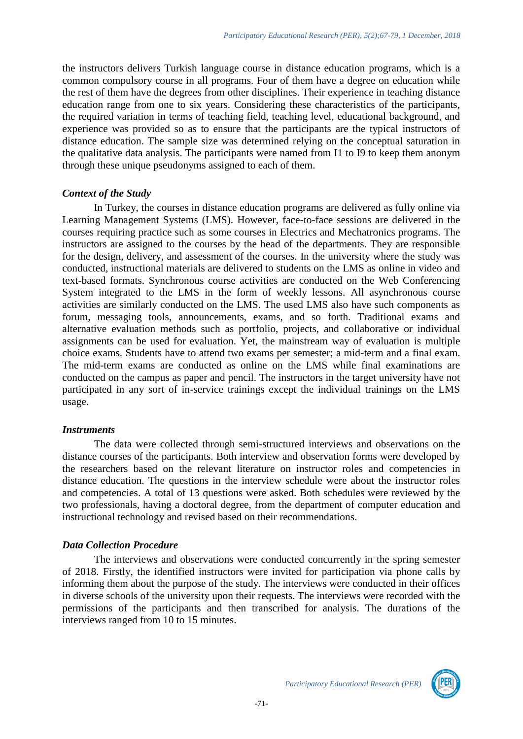the instructors delivers Turkish language course in distance education programs, which is a common compulsory course in all programs. Four of them have a degree on education while the rest of them have the degrees from other disciplines. Their experience in teaching distance education range from one to six years. Considering these characteristics of the participants, the required variation in terms of teaching field, teaching level, educational background, and experience was provided so as to ensure that the participants are the typical instructors of distance education. The sample size was determined relying on the conceptual saturation in the qualitative data analysis. The participants were named from I1 to I9 to keep them anonym through these unique pseudonyms assigned to each of them.

## *Context of the Study*

In Turkey, the courses in distance education programs are delivered as fully online via Learning Management Systems (LMS). However, face-to-face sessions are delivered in the courses requiring practice such as some courses in Electrics and Mechatronics programs. The instructors are assigned to the courses by the head of the departments. They are responsible for the design, delivery, and assessment of the courses. In the university where the study was conducted, instructional materials are delivered to students on the LMS as online in video and text-based formats. Synchronous course activities are conducted on the Web Conferencing System integrated to the LMS in the form of weekly lessons. All asynchronous course activities are similarly conducted on the LMS. The used LMS also have such components as forum, messaging tools, announcements, exams, and so forth. Traditional exams and alternative evaluation methods such as portfolio, projects, and collaborative or individual assignments can be used for evaluation. Yet, the mainstream way of evaluation is multiple choice exams. Students have to attend two exams per semester; a mid-term and a final exam. The mid-term exams are conducted as online on the LMS while final examinations are conducted on the campus as paper and pencil. The instructors in the target university have not participated in any sort of in-service trainings except the individual trainings on the LMS usage.

### *Instruments*

The data were collected through semi-structured interviews and observations on the distance courses of the participants. Both interview and observation forms were developed by the researchers based on the relevant literature on instructor roles and competencies in distance education. The questions in the interview schedule were about the instructor roles and competencies. A total of 13 questions were asked. Both schedules were reviewed by the two professionals, having a doctoral degree, from the department of computer education and instructional technology and revised based on their recommendations.

# *Data Collection Procedure*

The interviews and observations were conducted concurrently in the spring semester of 2018. Firstly, the identified instructors were invited for participation via phone calls by informing them about the purpose of the study. The interviews were conducted in their offices in diverse schools of the university upon their requests. The interviews were recorded with the permissions of the participants and then transcribed for analysis. The durations of the interviews ranged from 10 to 15 minutes.

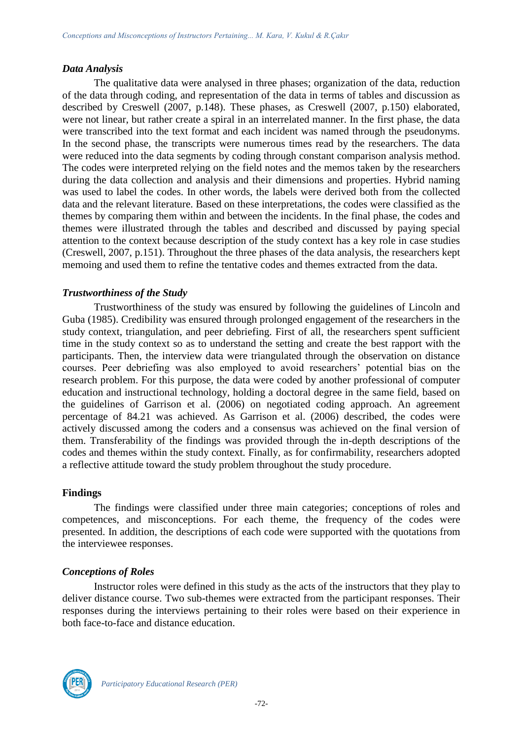### *Data Analysis*

The qualitative data were analysed in three phases; organization of the data, reduction of the data through coding, and representation of the data in terms of tables and discussion as described by Creswell (2007, p.148). These phases, as Creswell (2007, p.150) elaborated, were not linear, but rather create a spiral in an interrelated manner. In the first phase, the data were transcribed into the text format and each incident was named through the pseudonyms. In the second phase, the transcripts were numerous times read by the researchers. The data were reduced into the data segments by coding through constant comparison analysis method. The codes were interpreted relying on the field notes and the memos taken by the researchers during the data collection and analysis and their dimensions and properties. Hybrid naming was used to label the codes. In other words, the labels were derived both from the collected data and the relevant literature. Based on these interpretations, the codes were classified as the themes by comparing them within and between the incidents. In the final phase, the codes and themes were illustrated through the tables and described and discussed by paying special attention to the context because description of the study context has a key role in case studies (Creswell, 2007, p.151). Throughout the three phases of the data analysis, the researchers kept memoing and used them to refine the tentative codes and themes extracted from the data.

### *Trustworthiness of the Study*

Trustworthiness of the study was ensured by following the guidelines of Lincoln and Guba (1985). Credibility was ensured through prolonged engagement of the researchers in the study context, triangulation, and peer debriefing. First of all, the researchers spent sufficient time in the study context so as to understand the setting and create the best rapport with the participants. Then, the interview data were triangulated through the observation on distance courses. Peer debriefing was also employed to avoid researchers' potential bias on the research problem. For this purpose, the data were coded by another professional of computer education and instructional technology, holding a doctoral degree in the same field, based on the guidelines of Garrison et al. (2006) on negotiated coding approach. An agreement percentage of 84.21 was achieved. As Garrison et al. (2006) described, the codes were actively discussed among the coders and a consensus was achieved on the final version of them. Transferability of the findings was provided through the in-depth descriptions of the codes and themes within the study context. Finally, as for confirmability, researchers adopted a reflective attitude toward the study problem throughout the study procedure.

### **Findings**

The findings were classified under three main categories; conceptions of roles and competences, and misconceptions. For each theme, the frequency of the codes were presented. In addition, the descriptions of each code were supported with the quotations from the interviewee responses.

### *Conceptions of Roles*

Instructor roles were defined in this study as the acts of the instructors that they play to deliver distance course. Two sub-themes were extracted from the participant responses. Their responses during the interviews pertaining to their roles were based on their experience in both face-to-face and distance education.

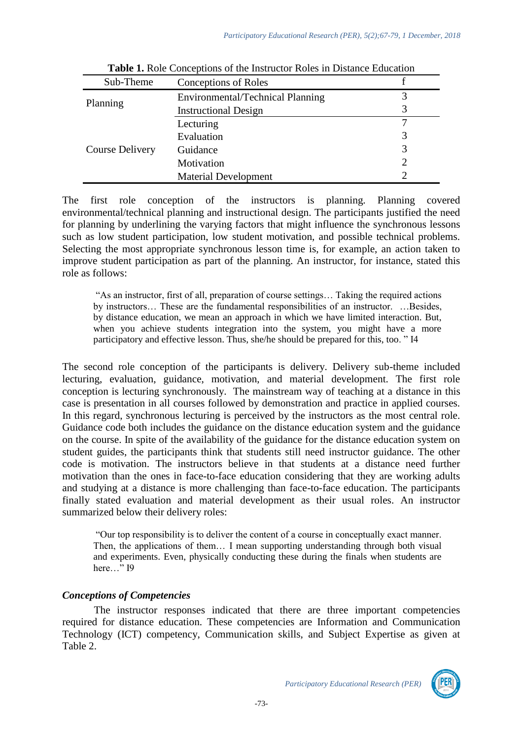| Sub-Theme              | <b>Conceptions of Roles</b>      |  |
|------------------------|----------------------------------|--|
| Planning               | Environmental/Technical Planning |  |
|                        | <b>Instructional Design</b>      |  |
| <b>Course Delivery</b> | Lecturing                        |  |
|                        | Evaluation                       |  |
|                        | Guidance                         |  |
|                        | Motivation                       |  |
|                        | <b>Material Development</b>      |  |

**Table 1.** Role Conceptions of the Instructor Roles in Distance Education

The first role conception of the instructors is planning. Planning covered environmental/technical planning and instructional design. The participants justified the need for planning by underlining the varying factors that might influence the synchronous lessons such as low student participation, low student motivation, and possible technical problems. Selecting the most appropriate synchronous lesson time is, for example, an action taken to improve student participation as part of the planning. An instructor, for instance, stated this role as follows:

"As an instructor, first of all, preparation of course settings… Taking the required actions by instructors… These are the fundamental responsibilities of an instructor. …Besides, by distance education, we mean an approach in which we have limited interaction. But, when you achieve students integration into the system, you might have a more participatory and effective lesson. Thus, she/he should be prepared for this, too. " I4

The second role conception of the participants is delivery. Delivery sub-theme included lecturing, evaluation, guidance, motivation, and material development. The first role conception is lecturing synchronously. The mainstream way of teaching at a distance in this case is presentation in all courses followed by demonstration and practice in applied courses. In this regard, synchronous lecturing is perceived by the instructors as the most central role. Guidance code both includes the guidance on the distance education system and the guidance on the course. In spite of the availability of the guidance for the distance education system on student guides, the participants think that students still need instructor guidance. The other code is motivation. The instructors believe in that students at a distance need further motivation than the ones in face-to-face education considering that they are working adults and studying at a distance is more challenging than face-to-face education. The participants finally stated evaluation and material development as their usual roles. An instructor summarized below their delivery roles:

"Our top responsibility is to deliver the content of a course in conceptually exact manner. Then, the applications of them… I mean supporting understanding through both visual and experiments. Even, physically conducting these during the finals when students are here…" I9

### *Conceptions of Competencies*

The instructor responses indicated that there are three important competencies required for distance education. These competencies are Information and Communication Technology (ICT) competency, Communication skills, and Subject Expertise as given at Table 2.

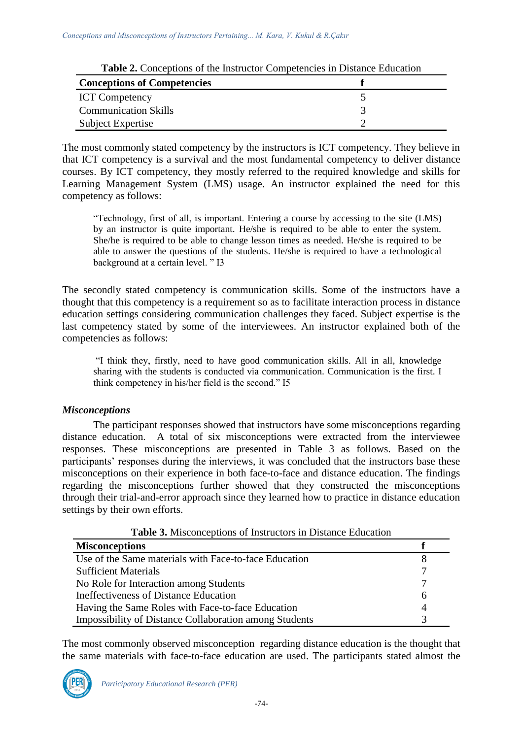| <b>Table 2.</b> Conceptions of the instructor Competencies in Distance Education |  |  |
|----------------------------------------------------------------------------------|--|--|
| <b>Conceptions of Competencies</b>                                               |  |  |
| <b>ICT</b> Competency                                                            |  |  |
| <b>Communication Skills</b>                                                      |  |  |
| Subject Expertise                                                                |  |  |

The most commonly stated competency by the instructors is ICT competency. They believe in that ICT competency is a survival and the most fundamental competency to deliver distance courses. By ICT competency, they mostly referred to the required knowledge and skills for Learning Management System (LMS) usage. An instructor explained the need for this competency as follows:

"Technology, first of all, is important. Entering a course by accessing to the site (LMS) by an instructor is quite important. He/she is required to be able to enter the system. She/he is required to be able to change lesson times as needed. He/she is required to be able to answer the questions of the students. He/she is required to have a technological background at a certain level. " I3

The secondly stated competency is communication skills. Some of the instructors have a thought that this competency is a requirement so as to facilitate interaction process in distance education settings considering communication challenges they faced. Subject expertise is the last competency stated by some of the interviewees. An instructor explained both of the competencies as follows:

"I think they, firstly, need to have good communication skills. All in all, knowledge sharing with the students is conducted via communication. Communication is the first. I think competency in his/her field is the second." I5

### *Misconceptions*

The participant responses showed that instructors have some misconceptions regarding distance education. A total of six misconceptions were extracted from the interviewee responses. These misconceptions are presented in Table 3 as follows. Based on the participants' responses during the interviews, it was concluded that the instructors base these misconceptions on their experience in both face-to-face and distance education. The findings regarding the misconceptions further showed that they constructed the misconceptions through their trial-and-error approach since they learned how to practice in distance education settings by their own efforts.

| <b>Table 3.</b> Misconceptions of Instructors in Distance Education |   |
|---------------------------------------------------------------------|---|
| <b>Misconceptions</b>                                               |   |
| Use of the Same materials with Face-to-face Education               |   |
| <b>Sufficient Materials</b>                                         |   |
| No Role for Interaction among Students                              |   |
| Ineffectiveness of Distance Education                               | 6 |
| Having the Same Roles with Face-to-face Education                   |   |
| <b>Impossibility of Distance Collaboration among Students</b>       |   |

**Table 3.** Misconceptions of Instructors in Distance Education

The most commonly observed misconception regarding distance education is the thought that the same materials with face-to-face education are used. The participants stated almost the

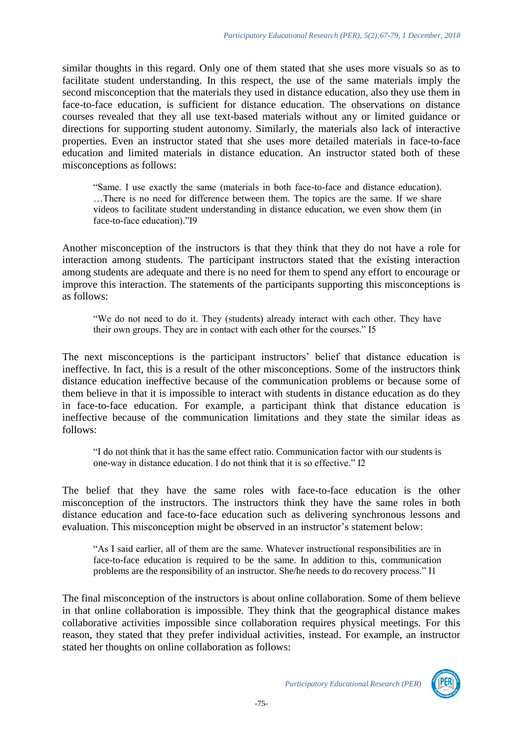similar thoughts in this regard. Only one of them stated that she uses more visuals so as to facilitate student understanding. In this respect, the use of the same materials imply the second misconception that the materials they used in distance education, also they use them in face-to-face education, is sufficient for distance education. The observations on distance courses revealed that they all use text-based materials without any or limited guidance or directions for supporting student autonomy. Similarly, the materials also lack of interactive properties. Even an instructor stated that she uses more detailed materials in face-to-face education and limited materials in distance education. An instructor stated both of these misconceptions as follows:

"Same. I use exactly the same (materials in both face-to-face and distance education). …There is no need for difference between them. The topics are the same. If we share videos to facilitate student understanding in distance education, we even show them (in face-to-face education)."I9

Another misconception of the instructors is that they think that they do not have a role for interaction among students. The participant instructors stated that the existing interaction among students are adequate and there is no need for them to spend any effort to encourage or improve this interaction. The statements of the participants supporting this misconceptions is as follows:

"We do not need to do it. They (students) already interact with each other. They have their own groups. They are in contact with each other for the courses." I5

The next misconceptions is the participant instructors' belief that distance education is ineffective. In fact, this is a result of the other misconceptions. Some of the instructors think distance education ineffective because of the communication problems or because some of them believe in that it is impossible to interact with students in distance education as do they in face-to-face education. For example, a participant think that distance education is ineffective because of the communication limitations and they state the similar ideas as follows:

"I do not think that it has the same effect ratio. Communication factor with our students is one-way in distance education. I do not think that it is so effective." I2

The belief that they have the same roles with face-to-face education is the other misconception of the instructors. The instructors think they have the same roles in both distance education and face-to-face education such as delivering synchronous lessons and evaluation. This misconception might be observed in an instructor's statement below:

"As I said earlier, all of them are the same. Whatever instructional responsibilities are in face-to-face education is required to be the same. In addition to this, communication problems are the responsibility of an instructor. She/he needs to do recovery process." I1

The final misconception of the instructors is about online collaboration. Some of them believe in that online collaboration is impossible. They think that the geographical distance makes collaborative activities impossible since collaboration requires physical meetings. For this reason, they stated that they prefer individual activities, instead. For example, an instructor stated her thoughts on online collaboration as follows:

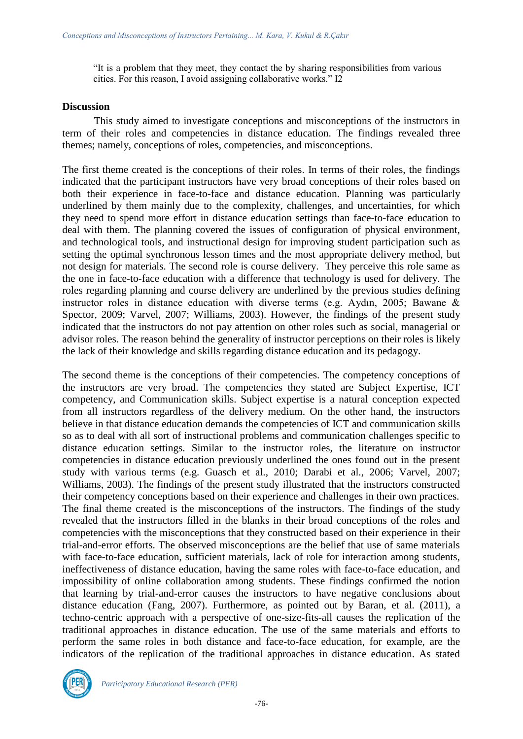"It is a problem that they meet, they contact the by sharing responsibilities from various cities. For this reason, I avoid assigning collaborative works." I2

#### **Discussion**

This study aimed to investigate conceptions and misconceptions of the instructors in term of their roles and competencies in distance education. The findings revealed three themes; namely, conceptions of roles, competencies, and misconceptions.

The first theme created is the conceptions of their roles. In terms of their roles, the findings indicated that the participant instructors have very broad conceptions of their roles based on both their experience in face-to-face and distance education. Planning was particularly underlined by them mainly due to the complexity, challenges, and uncertainties, for which they need to spend more effort in distance education settings than face-to-face education to deal with them. The planning covered the issues of configuration of physical environment, and technological tools, and instructional design for improving student participation such as setting the optimal synchronous lesson times and the most appropriate delivery method, but not design for materials. The second role is course delivery. They perceive this role same as the one in face-to-face education with a difference that technology is used for delivery. The roles regarding planning and course delivery are underlined by the previous studies defining instructor roles in distance education with diverse terms (e.g. Aydın, 2005; Bawane & Spector, 2009; Varvel, 2007; Williams, 2003). However, the findings of the present study indicated that the instructors do not pay attention on other roles such as social, managerial or advisor roles. The reason behind the generality of instructor perceptions on their roles is likely the lack of their knowledge and skills regarding distance education and its pedagogy.

The second theme is the conceptions of their competencies. The competency conceptions of the instructors are very broad. The competencies they stated are Subject Expertise, ICT competency, and Communication skills. Subject expertise is a natural conception expected from all instructors regardless of the delivery medium. On the other hand, the instructors believe in that distance education demands the competencies of ICT and communication skills so as to deal with all sort of instructional problems and communication challenges specific to distance education settings. Similar to the instructor roles, the literature on instructor competencies in distance education previously underlined the ones found out in the present study with various terms (e.g. Guasch et al., 2010; Darabi et al., 2006; Varvel, 2007; Williams, 2003). The findings of the present study illustrated that the instructors constructed their competency conceptions based on their experience and challenges in their own practices. The final theme created is the misconceptions of the instructors. The findings of the study revealed that the instructors filled in the blanks in their broad conceptions of the roles and competencies with the misconceptions that they constructed based on their experience in their trial-and-error efforts. The observed misconceptions are the belief that use of same materials with face-to-face education, sufficient materials, lack of role for interaction among students, ineffectiveness of distance education, having the same roles with face-to-face education, and impossibility of online collaboration among students. These findings confirmed the notion that learning by trial-and-error causes the instructors to have negative conclusions about distance education (Fang, 2007). Furthermore, as pointed out by Baran, et al. (2011), a techno-centric approach with a perspective of one-size-fits-all causes the replication of the traditional approaches in distance education. The use of the same materials and efforts to perform the same roles in both distance and face-to-face education, for example, are the indicators of the replication of the traditional approaches in distance education. As stated

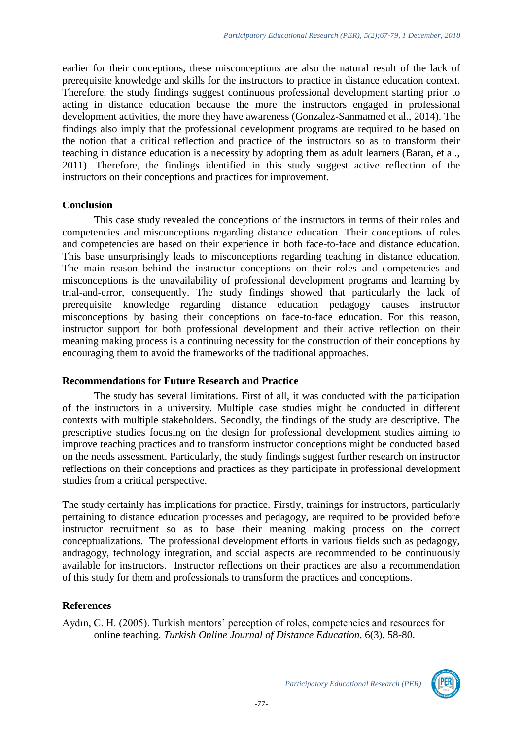earlier for their conceptions, these misconceptions are also the natural result of the lack of prerequisite knowledge and skills for the instructors to practice in distance education context. Therefore, the study findings suggest continuous professional development starting prior to acting in distance education because the more the instructors engaged in professional development activities, the more they have awareness (Gonzalez-Sanmamed et al., 2014). The findings also imply that the professional development programs are required to be based on the notion that a critical reflection and practice of the instructors so as to transform their teaching in distance education is a necessity by adopting them as adult learners (Baran, et al., 2011). Therefore, the findings identified in this study suggest active reflection of the instructors on their conceptions and practices for improvement.

#### **Conclusion**

This case study revealed the conceptions of the instructors in terms of their roles and competencies and misconceptions regarding distance education. Their conceptions of roles and competencies are based on their experience in both face-to-face and distance education. This base unsurprisingly leads to misconceptions regarding teaching in distance education. The main reason behind the instructor conceptions on their roles and competencies and misconceptions is the unavailability of professional development programs and learning by trial-and-error, consequently. The study findings showed that particularly the lack of prerequisite knowledge regarding distance education pedagogy causes instructor misconceptions by basing their conceptions on face-to-face education. For this reason, instructor support for both professional development and their active reflection on their meaning making process is a continuing necessity for the construction of their conceptions by encouraging them to avoid the frameworks of the traditional approaches.

#### **Recommendations for Future Research and Practice**

The study has several limitations. First of all, it was conducted with the participation of the instructors in a university. Multiple case studies might be conducted in different contexts with multiple stakeholders. Secondly, the findings of the study are descriptive. The prescriptive studies focusing on the design for professional development studies aiming to improve teaching practices and to transform instructor conceptions might be conducted based on the needs assessment. Particularly, the study findings suggest further research on instructor reflections on their conceptions and practices as they participate in professional development studies from a critical perspective.

The study certainly has implications for practice. Firstly, trainings for instructors, particularly pertaining to distance education processes and pedagogy, are required to be provided before instructor recruitment so as to base their meaning making process on the correct conceptualizations. The professional development efforts in various fields such as pedagogy, andragogy, technology integration, and social aspects are recommended to be continuously available for instructors. Instructor reflections on their practices are also a recommendation of this study for them and professionals to transform the practices and conceptions.

### **References**

Aydın, C. H. (2005). Turkish mentors' perception of roles, competencies and resources for online teaching. *Turkish Online Journal of Distance Education*, 6(3), 58-80.

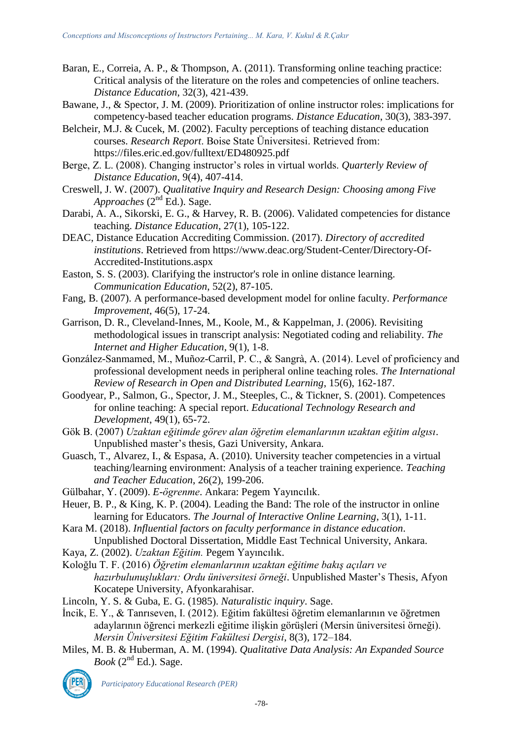- Baran, E., Correia, A. P., & Thompson, A. (2011). Transforming online teaching practice: Critical analysis of the literature on the roles and competencies of online teachers. *Distance Education*, 32(3), 421-439.
- Bawane, J., & Spector, J. M. (2009). Prioritization of online instructor roles: implications for competency-based teacher education programs. *Distance Education*, 30(3), 383-397.
- Belcheir, M.J. & Cucek, M. (2002). Faculty perceptions of teaching distance education courses. *Research Report*. Boise State Üniversitesi. Retrieved from: https://files.eric.ed.gov/fulltext/ED480925.pdf
- Berge, Z. L. (2008). Changing instructor's roles in virtual worlds. *Quarterly Review of Distance Education*, 9(4), 407-414.
- Creswell, J. W. (2007). *Qualitative Inquiry and Research Design: Choosing among Five Approaches* (2nd Ed.). Sage.
- Darabi, A. A., Sikorski, E. G., & Harvey, R. B. (2006). Validated competencies for distance teaching. *Distance Education*, 27(1), 105-122.
- DEAC, Distance Education Accrediting Commission. (2017). *Directory of accredited institutions*. Retrieved from [https://www.deac.org/Student-Center/Directory-Of-](https://www.deac.org/Student-Center/Directory-Of-Accredited-Institutions.aspx)[Accredited-Institutions.aspx](https://www.deac.org/Student-Center/Directory-Of-Accredited-Institutions.aspx)
- Easton, S. S. (2003). Clarifying the instructor's role in online distance learning. *Communication Education*, 52(2), 87-105.
- Fang, B. (2007). A performance-based development model for online faculty. *Performance Improvement*, 46(5), 17-24.
- Garrison, D. R., Cleveland-Innes, M., Koole, M., & Kappelman, J. (2006). Revisiting methodological issues in transcript analysis: Negotiated coding and reliability. *The Internet and Higher Education*, 9(1), 1-8.
- González-Sanmamed, M., Muñoz-Carril, P. C., & Sangrà, A. (2014). Level of proficiency and professional development needs in peripheral online teaching roles. *The International Review of Research in Open and Distributed Learning*, 15(6), 162-187.
- Goodyear, P., Salmon, G., Spector, J. M., Steeples, C., & Tickner, S. (2001). Competences for online teaching: A special report. *Educational Technology Research and Development*, 49(1), 65-72.
- Gök B. (2007) *Uzaktan eğitimde görev alan öğretim elemanlarının uzaktan eğitim algısı*. Unpublished master's thesis, Gazi University, Ankara.
- Guasch, T., Alvarez, I., & Espasa, A. (2010). University teacher competencies in a virtual teaching/learning environment: Analysis of a teacher training experience. *Teaching and Teacher Education*, 26(2), 199-206.
- Gülbahar, Y. (2009). *E-ögrenme*. Ankara: Pegem Yayıncılık.
- Heuer, B. P., & King, K. P. (2004). Leading the Band: The role of the instructor in online learning for Educators. *The Journal of Interactive Online Learning*, 3(1), 1-11.
- Kara M. (2018). *Influential factors on faculty performance in distance education*. Unpublished Doctoral Dissertation, Middle East Technical University, Ankara.
- Kaya, Z. (2002). *Uzaktan Eğitim.* Pegem Yayıncılık.
- Koloğlu T. F. (2016) *Öğretim elemanlarının uzaktan eğitime bakış açıları ve hazırbulunuşlukları: Ordu üniversitesi örneği*. Unpublished Master's Thesis, Afyon Kocatepe University, Afyonkarahisar.
- Lincoln, Y. S. & Guba, E. G. (1985). *Naturalistic inquiry*. Sage.
- İncik, E. Y., & Tanrıseven, I. (2012). Eğitim fakültesi öğretim elemanlarının ve öğretmen adaylarının öğrenci merkezli eğitime ilişkin görüşleri (Mersin üniversitesi örneği). *Mersin Üniversitesi Eğitim Fakültesi Dergisi*, 8(3), 172–184.
- Miles, M. B. & Huberman, A. M. (1994). *Qualitative Data Analysis: An Expanded Source*   $Book (2<sup>nd</sup> Ed.)$ . Sage.



*Participatory Educational Research (PER)*